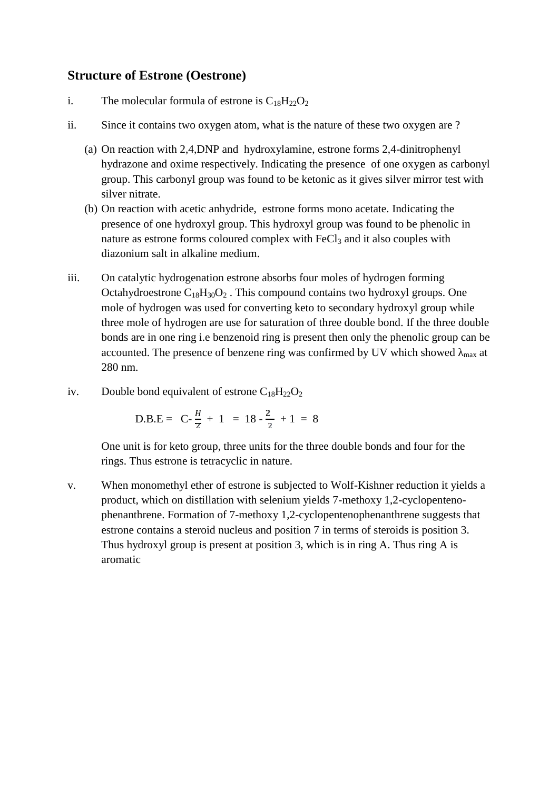## **Structure of Estrone (Oestrone)**

- i. The molecular formula of estrone is  $C_{18}H_{22}O_2$
- ii. Since it contains two oxygen atom, what is the nature of these two oxygen are ?
	- (a) On reaction with 2,4,DNP and hydroxylamine, estrone forms 2,4-dinitrophenyl hydrazone and oxime respectively. Indicating the presence of one oxygen as carbonyl group. This carbonyl group was found to be ketonic as it gives silver mirror test with silver nitrate.
	- (b) On reaction with acetic anhydride, estrone forms mono acetate. Indicating the presence of one hydroxyl group. This hydroxyl group was found to be phenolic in nature as estrone forms coloured complex with FeCl<sub>3</sub> and it also couples with diazonium salt in alkaline medium.
- iii. On catalytic hydrogenation estrone absorbs four moles of hydrogen forming Octahydroestrone  $C_{18}H_{30}O_2$ . This compound contains two hydroxyl groups. One mole of hydrogen was used for converting keto to secondary hydroxyl group while three mole of hydrogen are use for saturation of three double bond. If the three double bonds are in one ring i.e benzenoid ring is present then only the phenolic group can be accounted. The presence of benzene ring was confirmed by UV which showed  $_{\text{max}}$  at 280 nm.
- iv. Double bond equivalent of estrone  $C_{18}H_{22}O_2$

D.B.E = C-
$$
\frac{H}{Z}
$$
 + 1 = 18 -  $\frac{2}{2}$  + 1 = 8

One unit is for keto group, three units for the three double bonds and four for the rings. Thus estrone is tetracyclic in nature.

v. When monomethyl ether of estrone is subjected to Wolf-Kishner reduction it yields a product, which on distillation with selenium yields 7-methoxy 1,2-cyclopenteno phenanthrene. Formation of 7-methoxy 1,2-cyclopentenophenanthrene suggests that estrone contains a steroid nucleus and position 7 in terms of steroids is position 3. Thus hydroxyl group is present at position 3, which is in ring A. Thus ring A is aromatic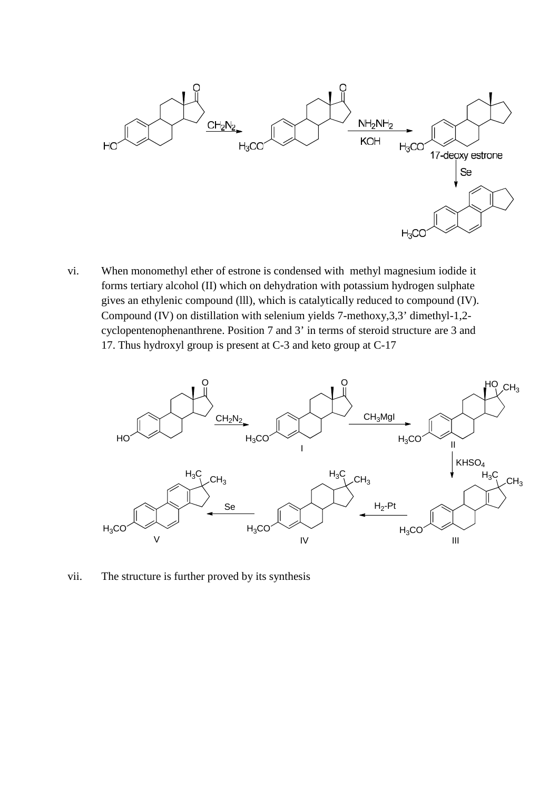

vi. When monomethyl ether of estrone is condensed with methyl magnesium iodide it forms tertiary alcohol (II) which on dehydration with potassium hydrogen sulphate gives an ethylenic compound (lll), which is catalytically reduced to compound (IV). Compound (IV) on distillation with selenium yields 7-methoxy,3,3' dimethyl-1,2 cyclopentenophenanthrene. Position 7 and 3' in terms of steroid structure are 3 and 17. Thus hydroxyl group is present at C-3 and keto group at C-17



vii. The structure is further proved by its synthesis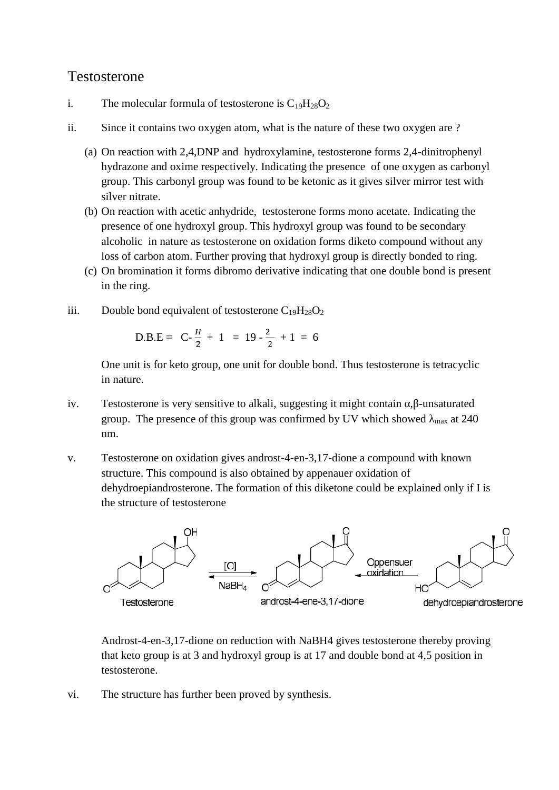## Testosterone

- i. The molecular formula of testosterone is  $C_{19}H_{28}O_2$
- ii. Since it contains two oxygen atom, what is the nature of these two oxygen are ?
	- (a) On reaction with 2,4,DNP and hydroxylamine, testosterone forms 2,4-dinitrophenyl hydrazone and oxime respectively. Indicating the presence of one oxygen as carbonyl group. This carbonyl group was found to be ketonic as it gives silver mirror test with silver nitrate.
	- (b) On reaction with acetic anhydride, testosterone forms mono acetate. Indicating the presence of one hydroxyl group. This hydroxyl group was found to be secondary alcoholic in nature as testosterone on oxidation forms diketo compound without any loss of carbon atom. Further proving that hydroxyl group is directly bonded to ring.
	- (c) On bromination it forms dibromo derivative indicating that one double bond is present in the ring.
- iii. Double bond equivalent of testosterone  $C_{19}H_{28}O_2$

D.B.E = C-
$$
\frac{H}{z}
$$
 + 1 = 19 -  $\frac{2}{2}$  + 1 = 6

One unit is for keto group, one unit for double bond. Thus testosterone is tetracyclic in nature.

- iv. Testosterone is very sensitive to alkali, suggesting it might contain, -unsaturated group. The presence of this group was confirmed by UV which showed  $_{\text{max}}$  at 240 nm.
- v. Testosterone on oxidation gives androst-4-en-3,17-dione a compound with known structure. This compound is also obtained by appenauer oxidation of dehydroepiandrosterone. The formation of this diketone could be explained only if I is the structure of testosterone



Androst-4-en-3,17-dione on reduction with NaBH4 gives testosterone thereby proving that keto group is at 3 and hydroxyl group is at 17 and double bond at 4,5 position in testosterone.

vi. The structure has further been proved by synthesis.